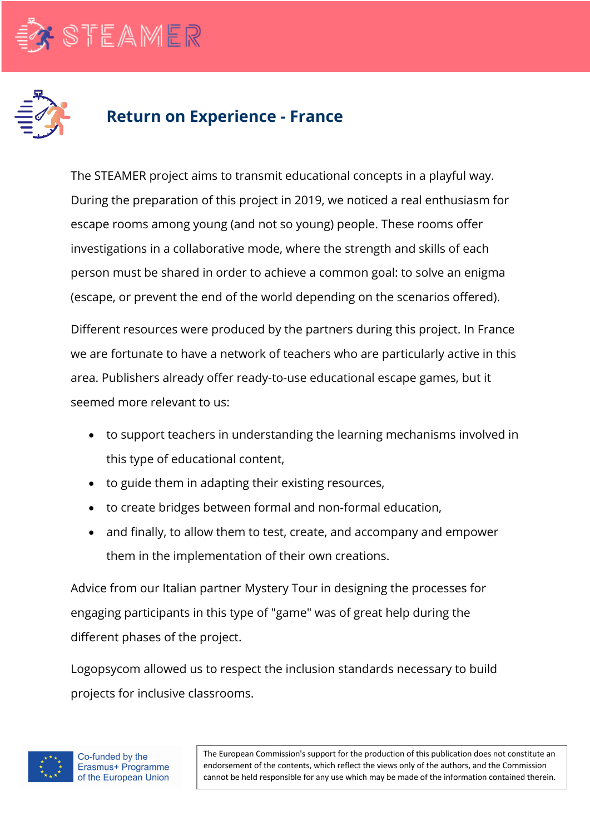



## **Return on Experience - France**

The STEAMER project aims to transmit educational concepts in a playful way. During the preparation of this project in 2019, we noticed a real enthusiasm for escape rooms among young (and not so young) people. These rooms offer investigations in a collaborative mode, where the strength and skills of each person must be shared in order to achieve a common goal: to solve an enigma (escape, or prevent the end of the world depending on the scenarios offered).

Different resources were produced by the partners during this project. In France we are fortunate to have a network of teachers who are particularly active in this area. Publishers already offer ready-to-use educational escape games, but it seemed more relevant to us:

- to support teachers in understanding the learning mechanisms involved in this type of educational content,
- to guide them in adapting their existing resources,
- to create bridges between formal and non-formal education,
- and finally, to allow them to test, create, and accompany and empower them in the implementation of their own creations.

Advice from our Italian partner Mystery Tour in designing the processes for engaging participants in this type of "game" was of great help during the different phases of the project.

Logopsycom allowed us to respect the inclusion standards necessary to build projects for inclusive classrooms.



The European Commission's support for the production of this publication does not constitute an endorsement of the contents, which reflect the views only of the authors, and the Commission cannot be held responsible for any use which may be made of the information contained therein.